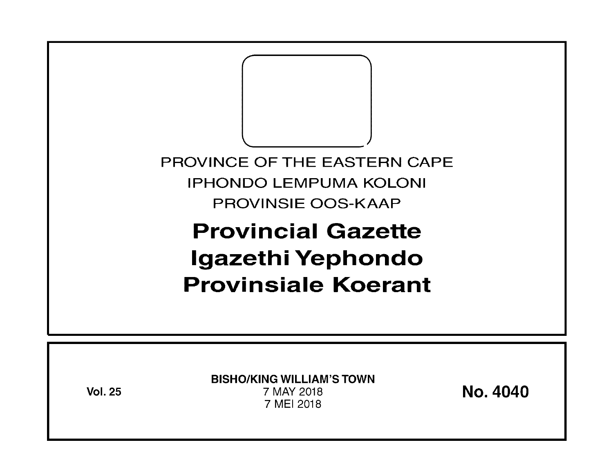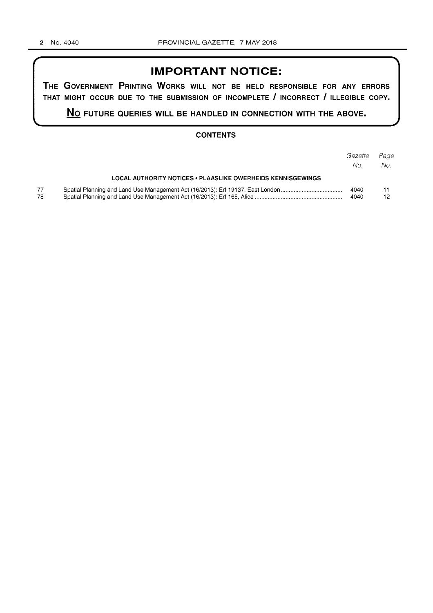# **IMPORTANT NOTICE:**

**THE GOVERNMENT PRINTING WORKS WILL NOT BE HELD RESPONSIBLE FOR ANY ERRORS THAT MIGHT OCCUR DUE TO THE SUBMISSION OF INCOMPLETE I INCORRECT I ILLEGIBLE COPY.** 

**No FUTURE QUERIES WILL BE HANDLED IN CONNECTION WITH THE ABOVE.** 

## **CONTENTS**

|           |                                                             | Gazette<br>No. | Page<br>No. |
|-----------|-------------------------------------------------------------|----------------|-------------|
|           | LOCAL AUTHORITY NOTICES • PLAASLIKE OWERHEIDS KENNISGEWINGS |                |             |
| 77<br>78. |                                                             | 4040<br>4040   | 12          |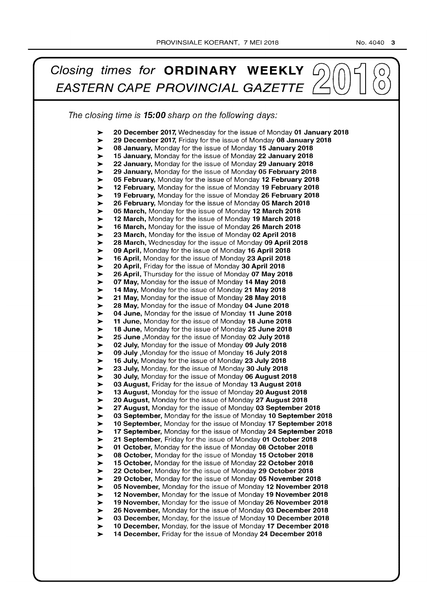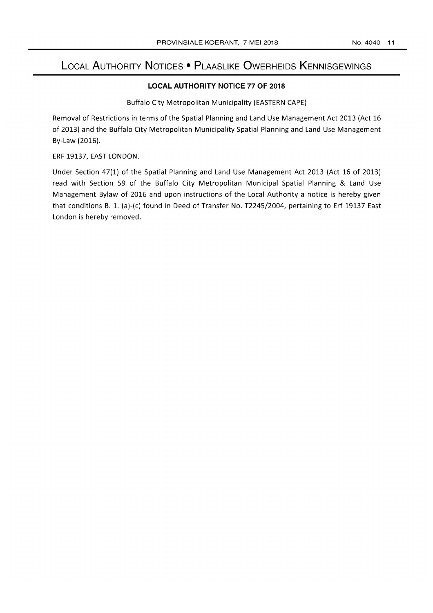# **LOCAL AUTHORITY NOTICES • PLAASLIKE OWERHEIDS KENNISGEWINGS**

## **LOCAL AUTHORITY NOTICE 77 OF 2018**

Buffalo City Metropolitan Municipality (EASTERN CAPE)

Removal of Restrictions in terms of the Spatial Planning and Land Use Management Act 2013 (Act 16 of 2013) and the Buffalo City Metropolitan Municipality Spatial Planning and Land Use Management By-Law (2016).

ERF 19137, EAST LONDON.

Under Section 47(1) of the Spatial Planning and Land Use Management Act 2013 (Act 16 of 2013) read with Section 59 of the Buffalo City Metropolitan Municipal Spatial Planning & Land Use Management Bylaw of 2016 and upon instructions of the Local Authority a notice is hereby given that conditions B. 1. (a)-(c) found in Deed of Transfer No. *T2245j2004,* pertaining to Erf 19137 East London is hereby removed.